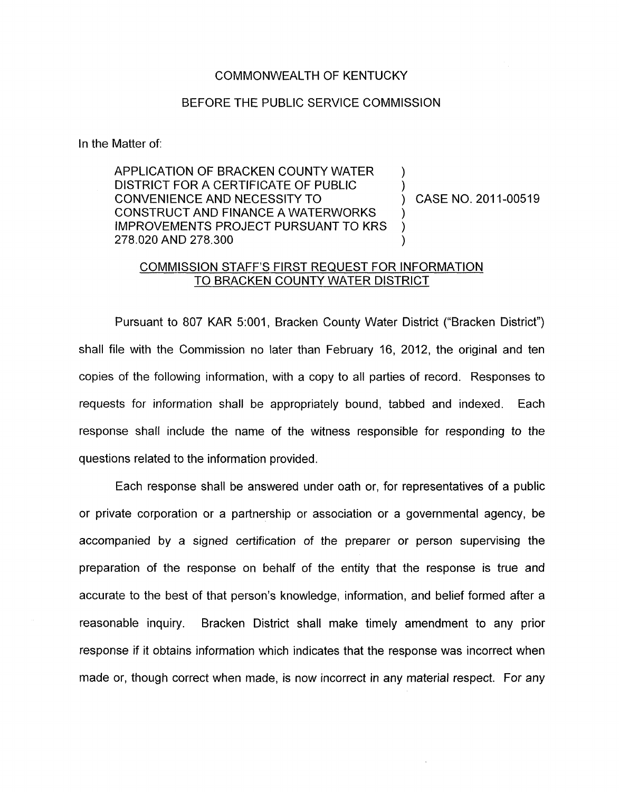## COMMONWEALTH OF KENTUCKY

## BEFORE THE PUBLIC SERVICE COMMISSION

In the Matter of:

APPLICATION OF BRACKEN COUNTY WATER DISTRICT FOR A CERTIFICATE OF PUBLIC CONVENIENCE AND NECESSITY TO  $(2011-00519)$ CONSTRUCT AND FINANCE A WATERWORKS IMPROVEMENTS PROJECT PURSUANT TO KRS 278.020 AND 278.300 )

) 1

## COMMISSION STAFF'S FIRST REQUEST FOR INFORMATION TO BRACKEN COUNTY WATER DISTRICT

Pursuant to 807 KAR 5:001, Bracken County Water District ("Bracken District") shall file with the Commission no later than February 16, 2012, the original and ten copies of the following information, with a copy to all parties of record. Responses to requests for information shall be appropriately bound, tabbed and indexed. Each response shall include the name of the witness responsible for responding to the questions related to the information provided.

Each response shall be answered under oath or, for representatives of a public or private corporation or a partnership or association or a governmental agency, be accompanied by a signed certification of the preparer or person supervising the preparation of the response on behalf of the entity that the response is true and accurate to the best of that person's knowledge, information, and belief formed after a reasonable inquiry. Bracken District shall make timely amendment to any prior response if it obtains information which indicates that the response was incorrect when made or, though correct when made, is now incorrect in any material respect. For any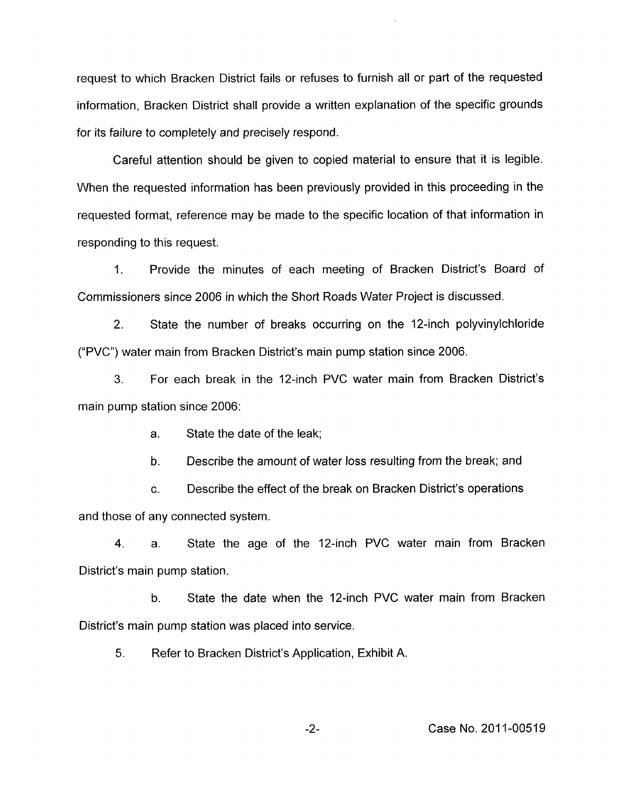request to which Bracken District fails or refuses to furnish all or part of the requested information, Bracken District shall provide a written explanation of the specific grounds for its failure to completely and precisely respond.

Careful attention should be given to copied material to ensure that it is legible. When the requested information has been previously provided in this proceeding in the requested format, reference may be made to the specific location of that information in responding to this request.

1. Provide the minutes of each meeting of Bracken District's Board of Commissioners since 2006 in which the Short Roads Water Project is discussed.

2. State the number of breaks occurring on the 12-inch polyvinylchloride ("PVC") water main from Bracken District's main pump station since 2006.

**3.** For each break in the 12-inch PVC water main from Bracken District's main pump station since 2006:

> a. State the date of the leak;

b. Describe the amount of water loss resulting from the break; and

c. Describe the effect of the break on Bracken District's operations and those of any connected system.

**4.** a. State the age of the 12-inch PVC water main from Bracken District's main pump station.

b. State the date when the 12-inch PVC water main from Bracken District's main pump station was placed into service.

*5.* Refer to Bracken District's Application, Exhibit A.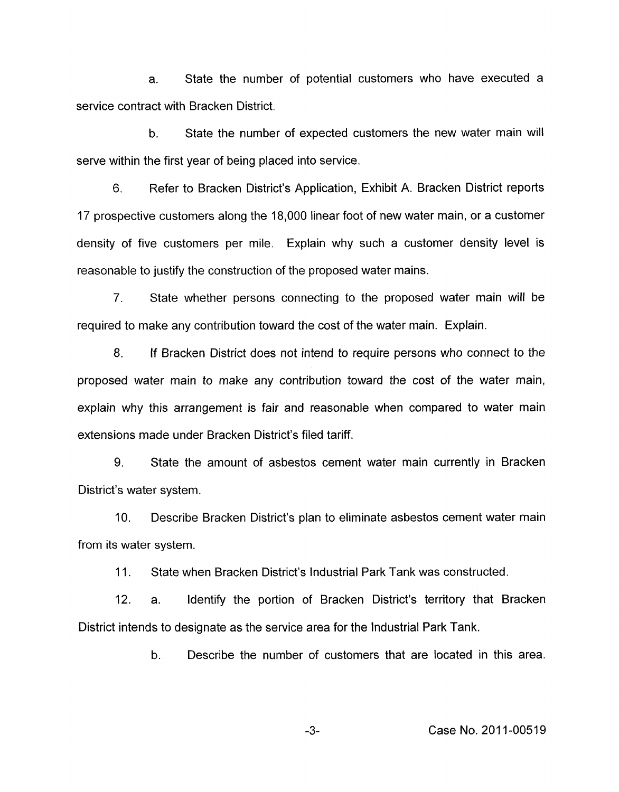a. State the number of potential customers who have executed a service contract with Bracken District.

b. State the number of expected customers the new water main will serve within the first year of being placed into service.

6. Refer to Bracken District's Application, Exhibit A. Bracken District reports 17 prospective customers along the 18,000 linear foot of new water main, or a customer density of five customers per mile. Explain why such a customer density level is reasonable to justify the construction of the proposed water mains.

*7.* State whether persons connecting to the proposed water main will be required to make any contribution toward the cost of the water main. Explain.

8. If Bracken District does not intend to require persons who connect to the proposed water main to make any contribution toward the cost of the water main, explain why this arrangement is fair and reasonable when compared to water main extensions made under Bracken District's filed tariff.

9. State the amount of asbestos cement water main currently in Bracken District's water system.

IO. Describe Bracken District's plan to eliminate asbestos cement water main from its water system.

11. State when Bracken District's Industrial Park Tank was constructed.

12. a. Identify the portion of Bracken District's territory that Bracken District intends to designate as the service area for the Industrial Park Tank.

b. Describe the number of customers that are located in this area.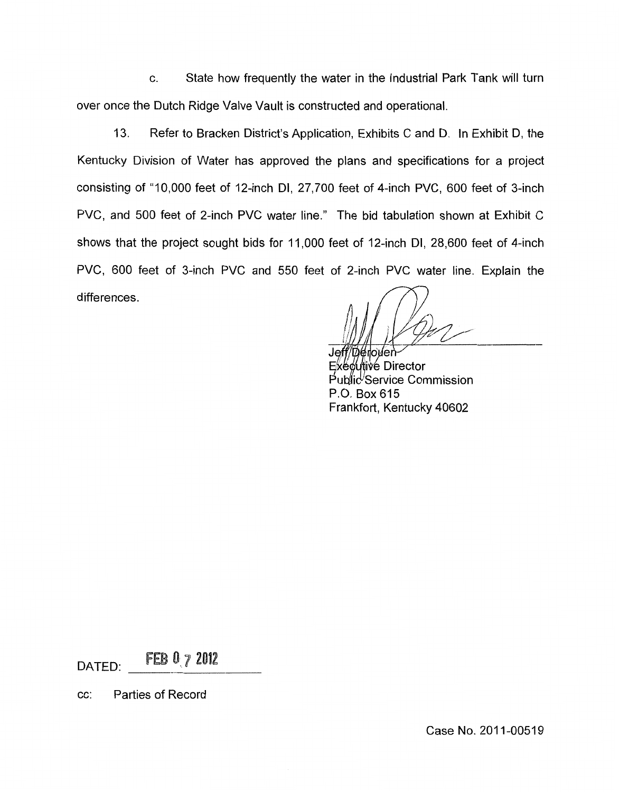c. State how frequently the water in the industrial Park Tank will turn over once the Dutch Ridge Valve Vault is constructed and operational.

13. Refer to Bracken District's Application, Exhibits C and D. In Exhibit D, the Kentucky Division of Water has approved the plans and specifications for a project consisting of "10,000 feet of 12-inch DI, 27,700 feet of 4-inch PVC, 600 feet of 3-inch PVC, and 500 feet of 2-inch PVC water line." The bid tabulation shown at Exhibit C shows that the project sought bids for 11,000 feet of 12-inch DI, 28,600 feet of 4-inch PVC, 600 feet of 3-inch PVC and 550 feet of 2-inch PVC water line. Explain the differences .

Jeff/Déroven

Executive Director Public<sup>U</sup>Service Commission P.O. Box 615 Frankfort, Kentucky 40602

DATED: FEB 0 7 2012

cc: Parties of Record